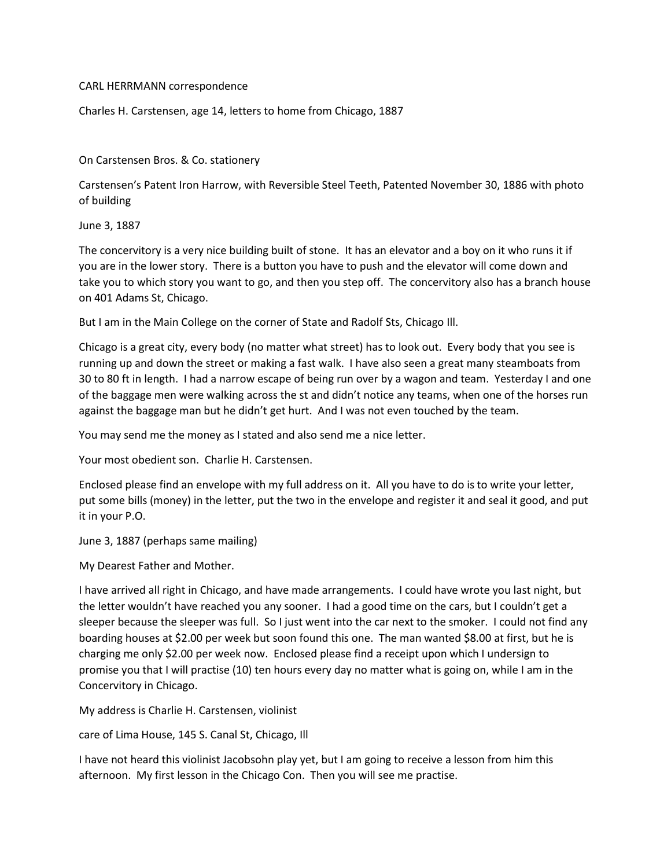## CARL HERRMANN correspondence

Charles H. Carstensen, age 14, letters to home from Chicago, 1887

On Carstensen Bros. & Co. stationery

Carstensen's Patent Iron Harrow, with Reversible Steel Teeth, Patented November 30, 1886 with photo of building

June 3, 1887

The concervitory is a very nice building built of stone. It has an elevator and a boy on it who runs it if you are in the lower story. There is a button you have to push and the elevator will come down and take you to which story you want to go, and then you step off. The concervitory also has a branch house on 401 Adams St, Chicago.

But I am in the Main College on the corner of State and Radolf Sts, Chicago Ill.

Chicago is a great city, every body (no matter what street) has to look out. Every body that you see is running up and down the street or making a fast walk. I have also seen a great many steamboats from 30 to 80 ft in length. I had a narrow escape of being run over by a wagon and team. Yesterday I and one of the baggage men were walking across the st and didn't notice any teams, when one of the horses run against the baggage man but he didn't get hurt. And I was not even touched by the team.

You may send me the money as I stated and also send me a nice letter.

Your most obedient son. Charlie H. Carstensen.

Enclosed please find an envelope with my full address on it. All you have to do is to write your letter, put some bills (money) in the letter, put the two in the envelope and register it and seal it good, and put it in your P.O.

June 3, 1887 (perhaps same mailing)

My Dearest Father and Mother.

I have arrived all right in Chicago, and have made arrangements. I could have wrote you last night, but the letter wouldn't have reached you any sooner. I had a good time on the cars, but I couldn't get a sleeper because the sleeper was full. So I just went into the car next to the smoker. I could not find any boarding houses at \$2.00 per week but soon found this one. The man wanted \$8.00 at first, but he is charging me only \$2.00 per week now. Enclosed please find a receipt upon which I undersign to promise you that I will practise (10) ten hours every day no matter what is going on, while I am in the Concervitory in Chicago.

My address is Charlie H. Carstensen, violinist

care of Lima House, 145 S. Canal St, Chicago, Ill

I have not heard this violinist Jacobsohn play yet, but I am going to receive a lesson from him this afternoon. My first lesson in the Chicago Con. Then you will see me practise.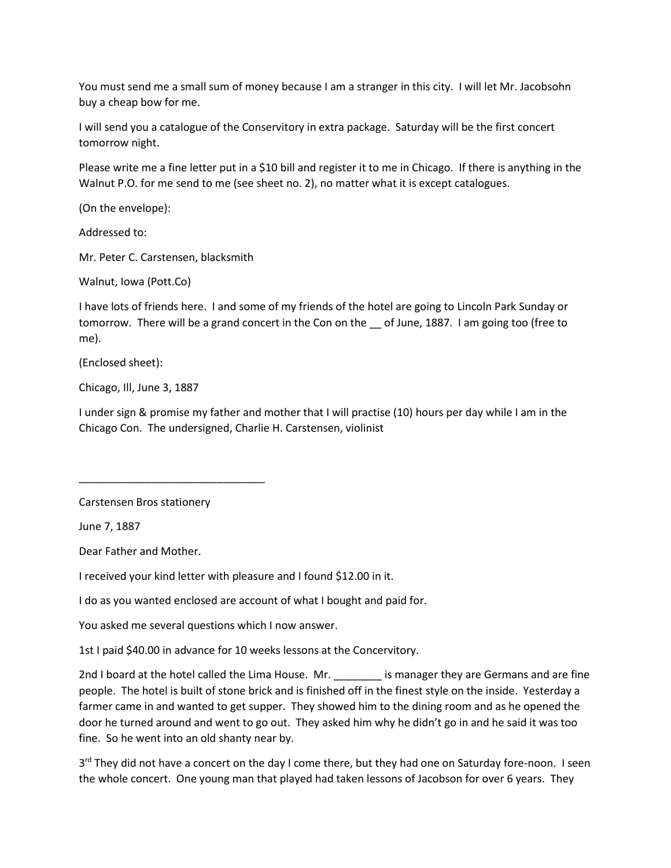You must send me a small sum of money because I am a stranger in this city. I will let Mr. Jacobsohn buy a cheap bow for me.

I will send you a catalogue of the Conservitory in extra package. Saturday will be the first concert tomorrow night.

Please write me a fine letter put in a \$10 bill and register it to me in Chicago. If there is anything in the Walnut P.O. for me send to me (see sheet no. 2), no matter what it is except catalogues.

(On the envelope):

Addressed to:

Mr. Peter C. Carstensen, blacksmith

Walnut, Iowa (Pott.Co)

I have lots of friends here. I and some of my friends of the hotel are going to Lincoln Park Sunday or tomorrow. There will be a grand concert in the Con on the \_\_ of June, 1887. I am going too (free to me).

(Enclosed sheet):

Chicago, Ill, June 3, 1887

I under sign & promise my father and mother that I will practise (10) hours per day while I am in the Chicago Con. The undersigned, Charlie H. Carstensen, violinist

Carstensen Bros stationery

\_\_\_\_\_\_\_\_\_\_\_\_\_\_\_\_\_\_\_\_\_\_\_\_\_\_\_\_\_\_\_

June 7, 1887

Dear Father and Mother.

I received your kind letter with pleasure and I found \$12.00 in it.

I do as you wanted enclosed are account of what I bought and paid for.

You asked me several questions which I now answer.

1st I paid \$40.00 in advance for 10 weeks lessons at the Concervitory.

2nd I board at the hotel called the Lima House. Mr. \_\_\_\_\_\_\_\_\_ is manager they are Germans and are fine people. The hotel is built of stone brick and is finished off in the finest style on the inside. Yesterday a farmer came in and wanted to get supper. They showed him to the dining room and as he opened the door he turned around and went to go out. They asked him why he didn't go in and he said it was too fine. So he went into an old shanty near by.

3<sup>rd</sup> They did not have a concert on the day I come there, but they had one on Saturday fore-noon. I seen the whole concert. One young man that played had taken lessons of Jacobson for over 6 years. They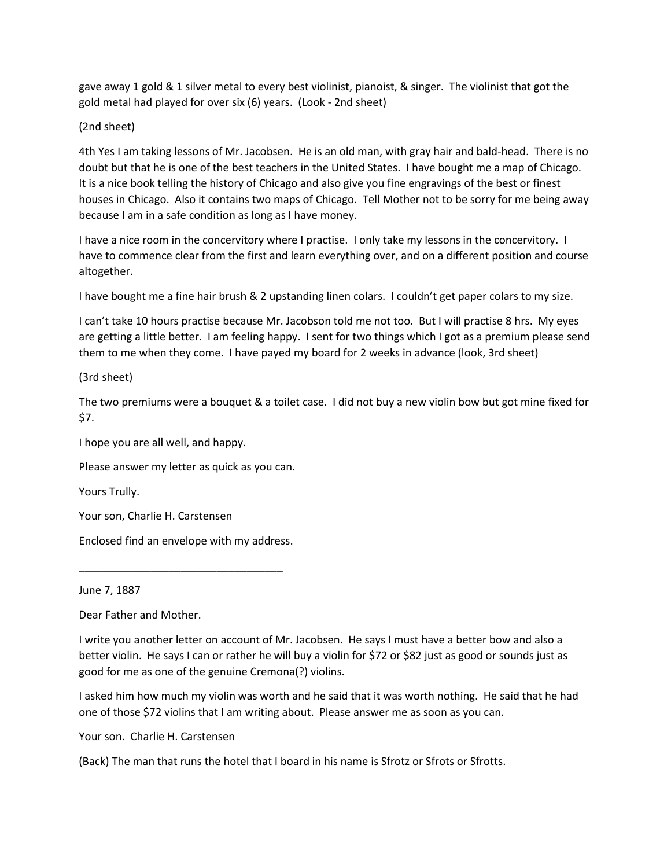gave away 1 gold & 1 silver metal to every best violinist, pianoist, & singer. The violinist that got the gold metal had played for over six (6) years. (Look - 2nd sheet)

## (2nd sheet)

4th Yes I am taking lessons of Mr. Jacobsen. He is an old man, with gray hair and bald-head. There is no doubt but that he is one of the best teachers in the United States. I have bought me a map of Chicago. It is a nice book telling the history of Chicago and also give you fine engravings of the best or finest houses in Chicago. Also it contains two maps of Chicago. Tell Mother not to be sorry for me being away because I am in a safe condition as long as I have money.

I have a nice room in the concervitory where I practise. I only take my lessons in the concervitory. I have to commence clear from the first and learn everything over, and on a different position and course altogether.

I have bought me a fine hair brush & 2 upstanding linen colars. I couldn't get paper colars to my size.

I can't take 10 hours practise because Mr. Jacobson told me not too. But I will practise 8 hrs. My eyes are getting a little better. I am feeling happy. I sent for two things which I got as a premium please send them to me when they come. I have payed my board for 2 weeks in advance (look, 3rd sheet)

(3rd sheet)

The two premiums were a bouquet & a toilet case. I did not buy a new violin bow but got mine fixed for \$7.

I hope you are all well, and happy.

Please answer my letter as quick as you can.

Yours Trully.

Your son, Charlie H. Carstensen

Enclosed find an envelope with my address.

\_\_\_\_\_\_\_\_\_\_\_\_\_\_\_\_\_\_\_\_\_\_\_\_\_\_\_\_\_\_\_\_\_\_

## June 7, 1887

Dear Father and Mother.

I write you another letter on account of Mr. Jacobsen. He says I must have a better bow and also a better violin. He says I can or rather he will buy a violin for \$72 or \$82 just as good or sounds just as good for me as one of the genuine Cremona(?) violins.

I asked him how much my violin was worth and he said that it was worth nothing. He said that he had one of those \$72 violins that I am writing about. Please answer me as soon as you can.

Your son. Charlie H. Carstensen

(Back) The man that runs the hotel that I board in his name is Sfrotz or Sfrots or Sfrotts.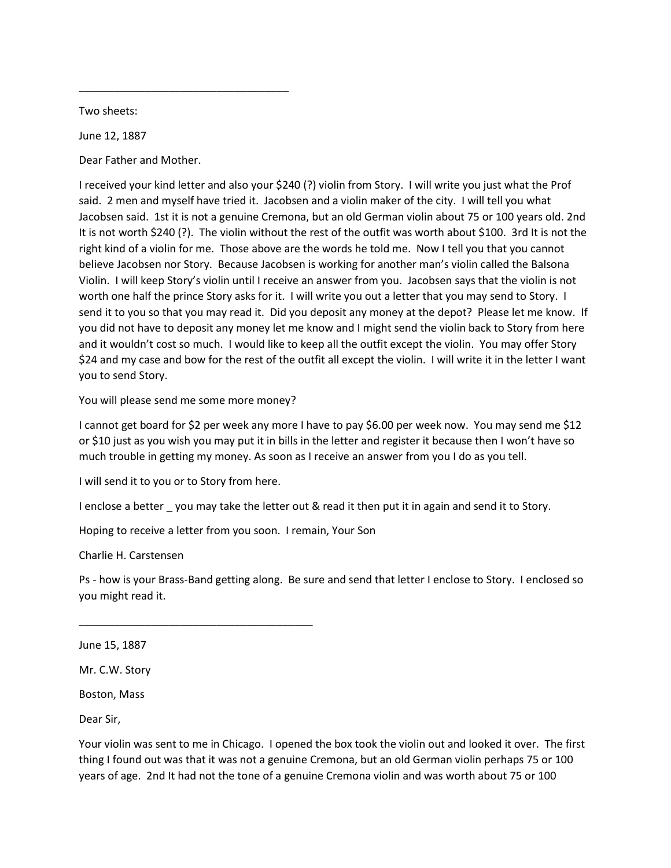Two sheets:

June 12, 1887

Dear Father and Mother.

\_\_\_\_\_\_\_\_\_\_\_\_\_\_\_\_\_\_\_\_\_\_\_\_\_\_\_\_\_\_\_\_\_\_\_

I received your kind letter and also your \$240 (?) violin from Story. I will write you just what the Prof said. 2 men and myself have tried it. Jacobsen and a violin maker of the city. I will tell you what Jacobsen said. 1st it is not a genuine Cremona, but an old German violin about 75 or 100 years old. 2nd It is not worth \$240 (?). The violin without the rest of the outfit was worth about \$100. 3rd It is not the right kind of a violin for me. Those above are the words he told me. Now I tell you that you cannot believe Jacobsen nor Story. Because Jacobsen is working for another man's violin called the Balsona Violin. I will keep Story's violin until I receive an answer from you. Jacobsen says that the violin is not worth one half the prince Story asks for it. I will write you out a letter that you may send to Story. I send it to you so that you may read it. Did you deposit any money at the depot? Please let me know. If you did not have to deposit any money let me know and I might send the violin back to Story from here and it wouldn't cost so much. I would like to keep all the outfit except the violin. You may offer Story \$24 and my case and bow for the rest of the outfit all except the violin. I will write it in the letter I want you to send Story.

You will please send me some more money?

I cannot get board for \$2 per week any more I have to pay \$6.00 per week now. You may send me \$12 or \$10 just as you wish you may put it in bills in the letter and register it because then I won't have so much trouble in getting my money. As soon as I receive an answer from you I do as you tell.

I will send it to you or to Story from here.

\_\_\_\_\_\_\_\_\_\_\_\_\_\_\_\_\_\_\_\_\_\_\_\_\_\_\_\_\_\_\_\_\_\_\_\_\_\_\_

I enclose a better you may take the letter out & read it then put it in again and send it to Story.

Hoping to receive a letter from you soon. I remain, Your Son

Charlie H. Carstensen

Ps - how is your Brass-Band getting along. Be sure and send that letter I enclose to Story. I enclosed so you might read it.

June 15, 1887

Mr. C.W. Story

Boston, Mass

Dear Sir,

Your violin was sent to me in Chicago. I opened the box took the violin out and looked it over. The first thing I found out was that it was not a genuine Cremona, but an old German violin perhaps 75 or 100 years of age. 2nd It had not the tone of a genuine Cremona violin and was worth about 75 or 100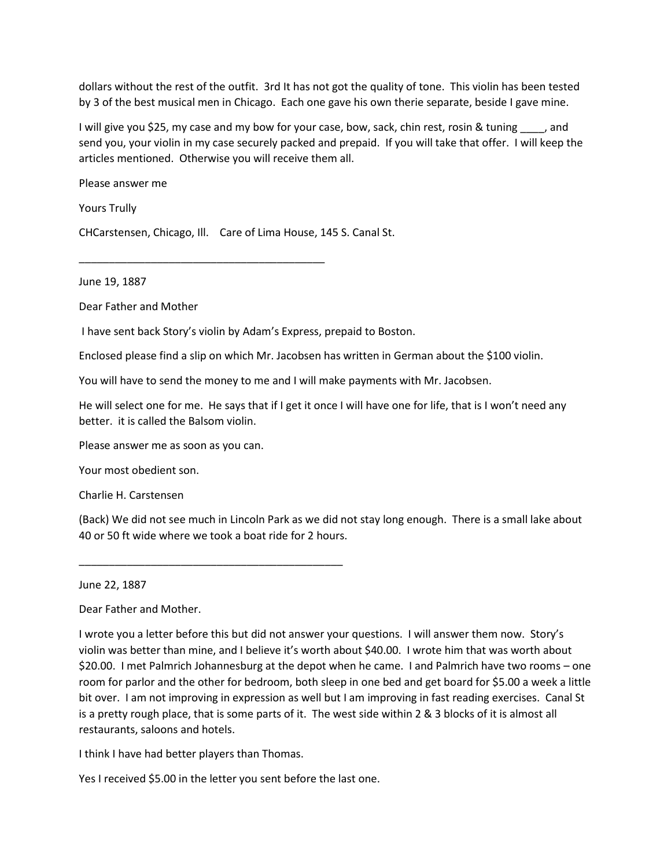dollars without the rest of the outfit. 3rd It has not got the quality of tone. This violin has been tested by 3 of the best musical men in Chicago. Each one gave his own therie separate, beside I gave mine.

I will give you \$25, my case and my bow for your case, bow, sack, chin rest, rosin & tuning \_\_\_\_, and send you, your violin in my case securely packed and prepaid. If you will take that offer. I will keep the articles mentioned. Otherwise you will receive them all.

Please answer me

Yours Trully

CHCarstensen, Chicago, Ill. Care of Lima House, 145 S. Canal St.

\_\_\_\_\_\_\_\_\_\_\_\_\_\_\_\_\_\_\_\_\_\_\_\_\_\_\_\_\_\_\_\_\_\_\_\_\_\_\_\_\_

June 19, 1887

Dear Father and Mother

I have sent back Story's violin by Adam's Express, prepaid to Boston.

Enclosed please find a slip on which Mr. Jacobsen has written in German about the \$100 violin.

You will have to send the money to me and I will make payments with Mr. Jacobsen.

He will select one for me. He says that if I get it once I will have one for life, that is I won't need any better. it is called the Balsom violin.

Please answer me as soon as you can.

Your most obedient son.

Charlie H. Carstensen

(Back) We did not see much in Lincoln Park as we did not stay long enough. There is a small lake about 40 or 50 ft wide where we took a boat ride for 2 hours.

June 22, 1887

Dear Father and Mother.

I wrote you a letter before this but did not answer your questions. I will answer them now. Story's violin was better than mine, and I believe it's worth about \$40.00. I wrote him that was worth about \$20.00. I met Palmrich Johannesburg at the depot when he came. I and Palmrich have two rooms – one room for parlor and the other for bedroom, both sleep in one bed and get board for \$5.00 a week a little bit over. I am not improving in expression as well but I am improving in fast reading exercises. Canal St is a pretty rough place, that is some parts of it. The west side within 2 & 3 blocks of it is almost all restaurants, saloons and hotels.

I think I have had better players than Thomas.

\_\_\_\_\_\_\_\_\_\_\_\_\_\_\_\_\_\_\_\_\_\_\_\_\_\_\_\_\_\_\_\_\_\_\_\_\_\_\_\_\_\_\_\_

Yes I received \$5.00 in the letter you sent before the last one.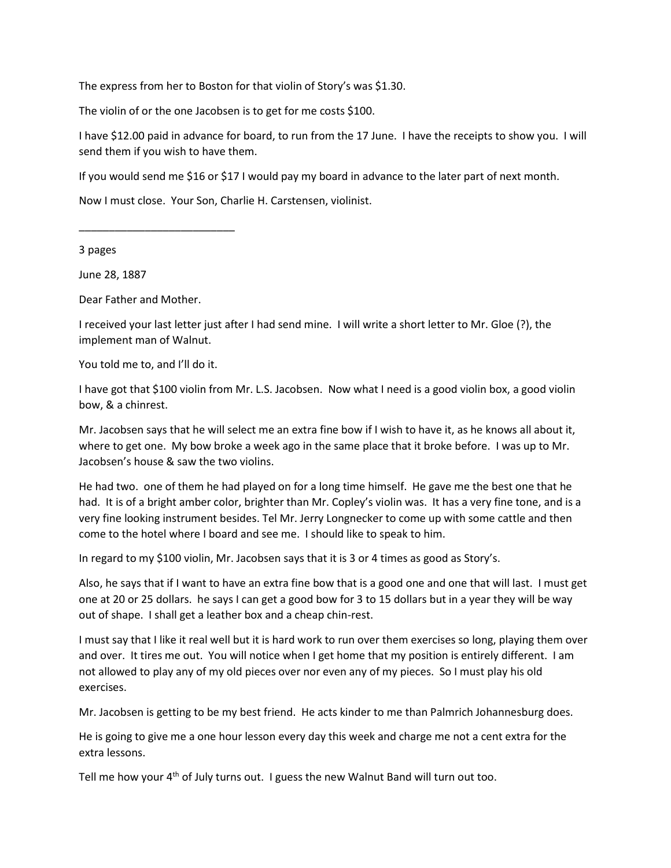The express from her to Boston for that violin of Story's was \$1.30.

The violin of or the one Jacobsen is to get for me costs \$100.

I have \$12.00 paid in advance for board, to run from the 17 June. I have the receipts to show you. I will send them if you wish to have them.

If you would send me \$16 or \$17 I would pay my board in advance to the later part of next month.

Now I must close. Your Son, Charlie H. Carstensen, violinist.

3 pages

June 28, 1887

Dear Father and Mother.

\_\_\_\_\_\_\_\_\_\_\_\_\_\_\_\_\_\_\_\_\_\_\_\_\_\_

I received your last letter just after I had send mine. I will write a short letter to Mr. Gloe (?), the implement man of Walnut.

You told me to, and I'll do it.

I have got that \$100 violin from Mr. L.S. Jacobsen. Now what I need is a good violin box, a good violin bow, & a chinrest.

Mr. Jacobsen says that he will select me an extra fine bow if I wish to have it, as he knows all about it, where to get one. My bow broke a week ago in the same place that it broke before. I was up to Mr. Jacobsen's house & saw the two violins.

He had two. one of them he had played on for a long time himself. He gave me the best one that he had. It is of a bright amber color, brighter than Mr. Copley's violin was. It has a very fine tone, and is a very fine looking instrument besides. Tel Mr. Jerry Longnecker to come up with some cattle and then come to the hotel where I board and see me. I should like to speak to him.

In regard to my \$100 violin, Mr. Jacobsen says that it is 3 or 4 times as good as Story's.

Also, he says that if I want to have an extra fine bow that is a good one and one that will last. I must get one at 20 or 25 dollars. he says I can get a good bow for 3 to 15 dollars but in a year they will be way out of shape. I shall get a leather box and a cheap chin-rest.

I must say that I like it real well but it is hard work to run over them exercises so long, playing them over and over. It tires me out. You will notice when I get home that my position is entirely different. I am not allowed to play any of my old pieces over nor even any of my pieces. So I must play his old exercises.

Mr. Jacobsen is getting to be my best friend. He acts kinder to me than Palmrich Johannesburg does.

He is going to give me a one hour lesson every day this week and charge me not a cent extra for the extra lessons.

Tell me how your  $4<sup>th</sup>$  of July turns out. I guess the new Walnut Band will turn out too.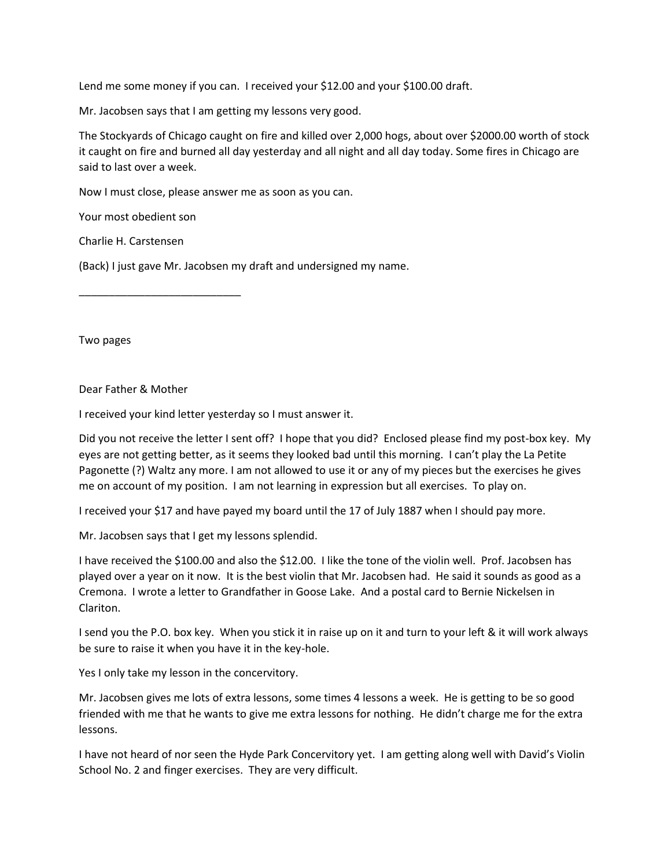Lend me some money if you can. I received your \$12.00 and your \$100.00 draft.

Mr. Jacobsen says that I am getting my lessons very good.

The Stockyards of Chicago caught on fire and killed over 2,000 hogs, about over \$2000.00 worth of stock it caught on fire and burned all day yesterday and all night and all day today. Some fires in Chicago are said to last over a week.

Now I must close, please answer me as soon as you can.

Your most obedient son

Charlie H. Carstensen

(Back) I just gave Mr. Jacobsen my draft and undersigned my name.

\_\_\_\_\_\_\_\_\_\_\_\_\_\_\_\_\_\_\_\_\_\_\_\_\_\_\_

Two pages

Dear Father & Mother

I received your kind letter yesterday so I must answer it.

Did you not receive the letter I sent off? I hope that you did? Enclosed please find my post-box key. My eyes are not getting better, as it seems they looked bad until this morning. I can't play the La Petite Pagonette (?) Waltz any more. I am not allowed to use it or any of my pieces but the exercises he gives me on account of my position. I am not learning in expression but all exercises. To play on.

I received your \$17 and have payed my board until the 17 of July 1887 when I should pay more.

Mr. Jacobsen says that I get my lessons splendid.

I have received the \$100.00 and also the \$12.00. I like the tone of the violin well. Prof. Jacobsen has played over a year on it now. It is the best violin that Mr. Jacobsen had. He said it sounds as good as a Cremona. I wrote a letter to Grandfather in Goose Lake. And a postal card to Bernie Nickelsen in Clariton.

I send you the P.O. box key. When you stick it in raise up on it and turn to your left & it will work always be sure to raise it when you have it in the key-hole.

Yes I only take my lesson in the concervitory.

Mr. Jacobsen gives me lots of extra lessons, some times 4 lessons a week. He is getting to be so good friended with me that he wants to give me extra lessons for nothing. He didn't charge me for the extra lessons.

I have not heard of nor seen the Hyde Park Concervitory yet. I am getting along well with David's Violin School No. 2 and finger exercises. They are very difficult.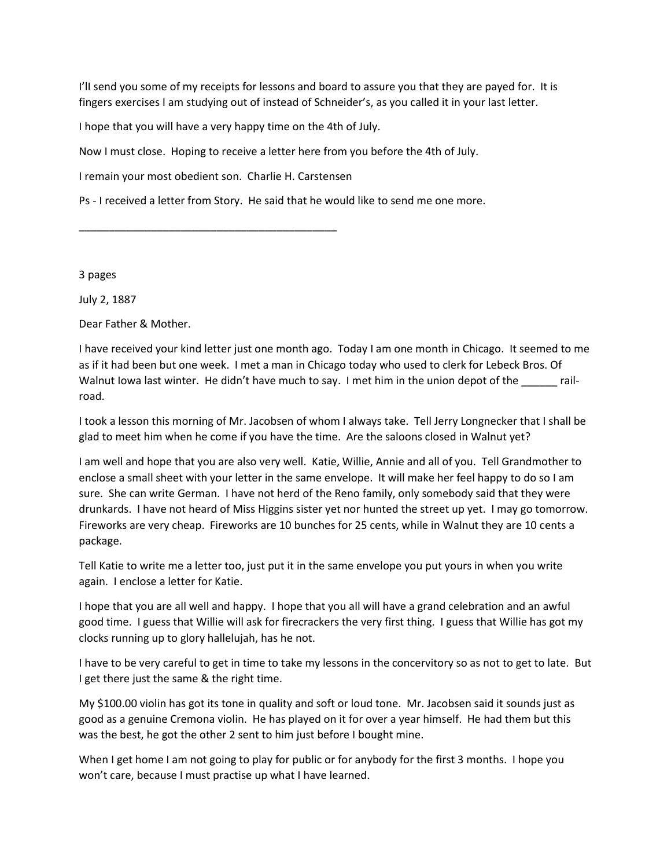I'lI send you some of my receipts for lessons and board to assure you that they are payed for. It is fingers exercises I am studying out of instead of Schneider's, as you called it in your last letter.

I hope that you will have a very happy time on the 4th of July.

Now I must close. Hoping to receive a letter here from you before the 4th of July.

I remain your most obedient son. Charlie H. Carstensen

\_\_\_\_\_\_\_\_\_\_\_\_\_\_\_\_\_\_\_\_\_\_\_\_\_\_\_\_\_\_\_\_\_\_\_\_\_\_\_\_\_\_\_

Ps - I received a letter from Story. He said that he would like to send me one more.

3 pages

July 2, 1887

Dear Father & Mother.

I have received your kind letter just one month ago. Today I am one month in Chicago. It seemed to me as if it had been but one week. I met a man in Chicago today who used to clerk for Lebeck Bros. Of Walnut Iowa last winter. He didn't have much to say. I met him in the union depot of the \_\_\_\_\_\_ railroad.

I took a lesson this morning of Mr. Jacobsen of whom I always take. Tell Jerry Longnecker that I shall be glad to meet him when he come if you have the time. Are the saloons closed in Walnut yet?

I am well and hope that you are also very well. Katie, Willie, Annie and all of you. Tell Grandmother to enclose a small sheet with your letter in the same envelope. It will make her feel happy to do so I am sure. She can write German. I have not herd of the Reno family, only somebody said that they were drunkards. I have not heard of Miss Higgins sister yet nor hunted the street up yet. I may go tomorrow. Fireworks are very cheap. Fireworks are 10 bunches for 25 cents, while in Walnut they are 10 cents a package.

Tell Katie to write me a letter too, just put it in the same envelope you put yours in when you write again. I enclose a letter for Katie.

I hope that you are all well and happy. I hope that you all will have a grand celebration and an awful good time. I guess that Willie will ask for firecrackers the very first thing. I guess that Willie has got my clocks running up to glory hallelujah, has he not.

I have to be very careful to get in time to take my lessons in the concervitory so as not to get to late. But I get there just the same & the right time.

My \$100.00 violin has got its tone in quality and soft or loud tone. Mr. Jacobsen said it sounds just as good as a genuine Cremona violin. He has played on it for over a year himself. He had them but this was the best, he got the other 2 sent to him just before I bought mine.

When I get home I am not going to play for public or for anybody for the first 3 months. I hope you won't care, because I must practise up what I have learned.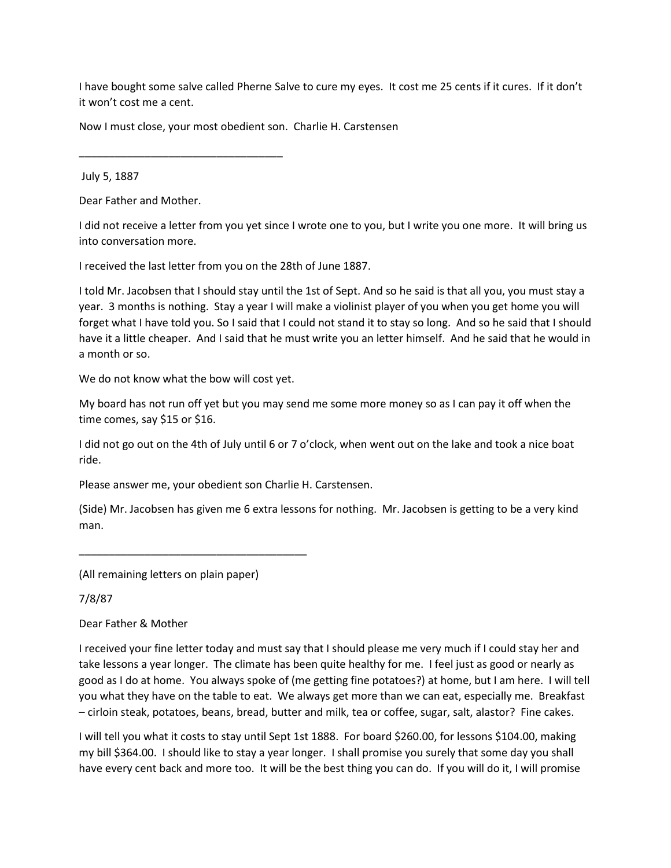I have bought some salve called Pherne Salve to cure my eyes. It cost me 25 cents if it cures. If it don't it won't cost me a cent.

Now I must close, your most obedient son. Charlie H. Carstensen

July 5, 1887

Dear Father and Mother.

\_\_\_\_\_\_\_\_\_\_\_\_\_\_\_\_\_\_\_\_\_\_\_\_\_\_\_\_\_\_\_\_\_\_

I did not receive a letter from you yet since I wrote one to you, but I write you one more. It will bring us into conversation more.

I received the last letter from you on the 28th of June 1887.

I told Mr. Jacobsen that I should stay until the 1st of Sept. And so he said is that all you, you must stay a year. 3 months is nothing. Stay a year I will make a violinist player of you when you get home you will forget what I have told you. So I said that I could not stand it to stay so long. And so he said that I should have it a little cheaper. And I said that he must write you an letter himself. And he said that he would in a month or so.

We do not know what the bow will cost yet.

My board has not run off yet but you may send me some more money so as I can pay it off when the time comes, say \$15 or \$16.

I did not go out on the 4th of July until 6 or 7 o'clock, when went out on the lake and took a nice boat ride.

Please answer me, your obedient son Charlie H. Carstensen.

(Side) Mr. Jacobsen has given me 6 extra lessons for nothing. Mr. Jacobsen is getting to be a very kind man.

(All remaining letters on plain paper)

\_\_\_\_\_\_\_\_\_\_\_\_\_\_\_\_\_\_\_\_\_\_\_\_\_\_\_\_\_\_\_\_\_\_\_\_\_\_

7/8/87

Dear Father & Mother

I received your fine letter today and must say that I should please me very much if I could stay her and take lessons a year longer. The climate has been quite healthy for me. I feel just as good or nearly as good as I do at home. You always spoke of (me getting fine potatoes?) at home, but I am here. I will tell you what they have on the table to eat. We always get more than we can eat, especially me. Breakfast – cirloin steak, potatoes, beans, bread, butter and milk, tea or coffee, sugar, salt, alastor? Fine cakes.

I will tell you what it costs to stay until Sept 1st 1888. For board \$260.00, for lessons \$104.00, making my bill \$364.00. I should like to stay a year longer. I shall promise you surely that some day you shall have every cent back and more too. It will be the best thing you can do. If you will do it, I will promise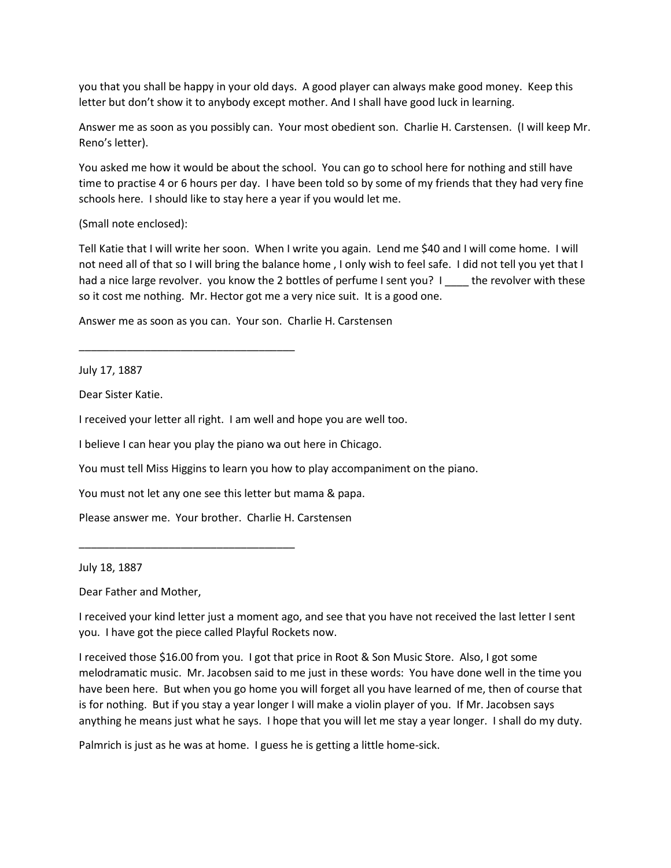you that you shall be happy in your old days. A good player can always make good money. Keep this letter but don't show it to anybody except mother. And I shall have good luck in learning.

Answer me as soon as you possibly can. Your most obedient son. Charlie H. Carstensen. (I will keep Mr. Reno's letter).

You asked me how it would be about the school. You can go to school here for nothing and still have time to practise 4 or 6 hours per day. I have been told so by some of my friends that they had very fine schools here. I should like to stay here a year if you would let me.

(Small note enclosed):

Tell Katie that I will write her soon. When I write you again. Lend me \$40 and I will come home. I will not need all of that so I will bring the balance home , I only wish to feel safe. I did not tell you yet that I had a nice large revolver. you know the 2 bottles of perfume I sent you? I \_\_\_\_ the revolver with these so it cost me nothing. Mr. Hector got me a very nice suit. It is a good one.

Answer me as soon as you can. Your son. Charlie H. Carstensen

\_\_\_\_\_\_\_\_\_\_\_\_\_\_\_\_\_\_\_\_\_\_\_\_\_\_\_\_\_\_\_\_\_\_\_\_

July 17, 1887

Dear Sister Katie.

I received your letter all right. I am well and hope you are well too.

I believe I can hear you play the piano wa out here in Chicago.

You must tell Miss Higgins to learn you how to play accompaniment on the piano.

You must not let any one see this letter but mama & papa.

Please answer me. Your brother. Charlie H. Carstensen

\_\_\_\_\_\_\_\_\_\_\_\_\_\_\_\_\_\_\_\_\_\_\_\_\_\_\_\_\_\_\_\_\_\_\_\_

July 18, 1887

Dear Father and Mother,

I received your kind letter just a moment ago, and see that you have not received the last letter I sent you. I have got the piece called Playful Rockets now.

I received those \$16.00 from you. I got that price in Root & Son Music Store. Also, I got some melodramatic music. Mr. Jacobsen said to me just in these words: You have done well in the time you have been here. But when you go home you will forget all you have learned of me, then of course that is for nothing. But if you stay a year longer I will make a violin player of you. If Mr. Jacobsen says anything he means just what he says. I hope that you will let me stay a year longer. I shall do my duty.

Palmrich is just as he was at home. I guess he is getting a little home-sick.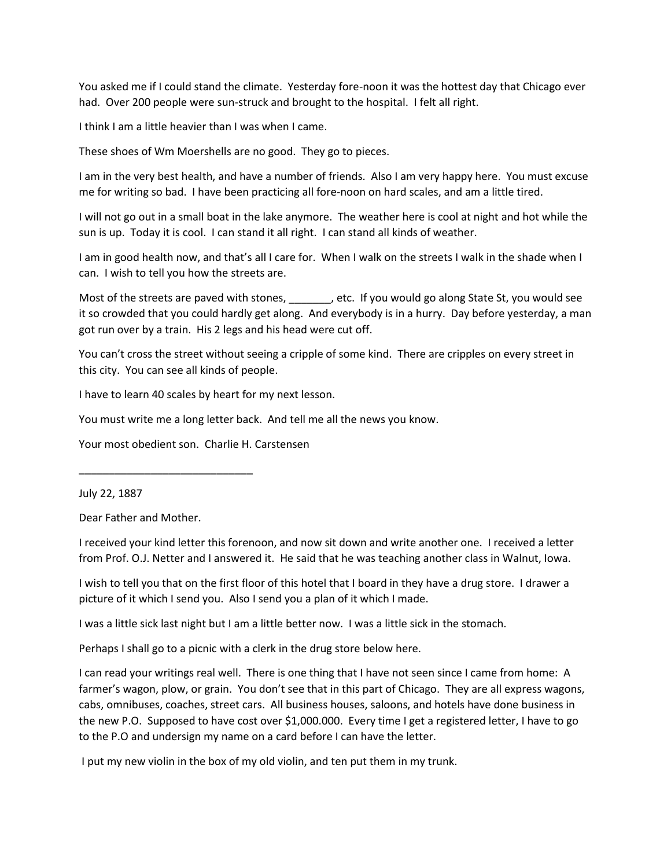You asked me if I could stand the climate. Yesterday fore-noon it was the hottest day that Chicago ever had. Over 200 people were sun-struck and brought to the hospital. I felt all right.

I think I am a little heavier than I was when I came.

These shoes of Wm Moershells are no good. They go to pieces.

I am in the very best health, and have a number of friends. Also I am very happy here. You must excuse me for writing so bad. I have been practicing all fore-noon on hard scales, and am a little tired.

I will not go out in a small boat in the lake anymore. The weather here is cool at night and hot while the sun is up. Today it is cool. I can stand it all right. I can stand all kinds of weather.

I am in good health now, and that's all I care for. When I walk on the streets I walk in the shade when I can. I wish to tell you how the streets are.

Most of the streets are paved with stones,  $\qquad \qquad$ , etc. If you would go along State St, you would see it so crowded that you could hardly get along. And everybody is in a hurry. Day before yesterday, a man got run over by a train. His 2 legs and his head were cut off.

You can't cross the street without seeing a cripple of some kind. There are cripples on every street in this city. You can see all kinds of people.

I have to learn 40 scales by heart for my next lesson.

You must write me a long letter back. And tell me all the news you know.

Your most obedient son. Charlie H. Carstensen

\_\_\_\_\_\_\_\_\_\_\_\_\_\_\_\_\_\_\_\_\_\_\_\_\_\_\_\_\_

July 22, 1887

Dear Father and Mother.

I received your kind letter this forenoon, and now sit down and write another one. I received a letter from Prof. O.J. Netter and I answered it. He said that he was teaching another class in Walnut, Iowa.

I wish to tell you that on the first floor of this hotel that I board in they have a drug store. I drawer a picture of it which I send you. Also I send you a plan of it which I made.

I was a little sick last night but I am a little better now. I was a little sick in the stomach.

Perhaps I shall go to a picnic with a clerk in the drug store below here.

I can read your writings real well. There is one thing that I have not seen since I came from home: A farmer's wagon, plow, or grain. You don't see that in this part of Chicago. They are all express wagons, cabs, omnibuses, coaches, street cars. All business houses, saloons, and hotels have done business in the new P.O. Supposed to have cost over \$1,000.000. Every time I get a registered letter, I have to go to the P.O and undersign my name on a card before I can have the letter.

I put my new violin in the box of my old violin, and ten put them in my trunk.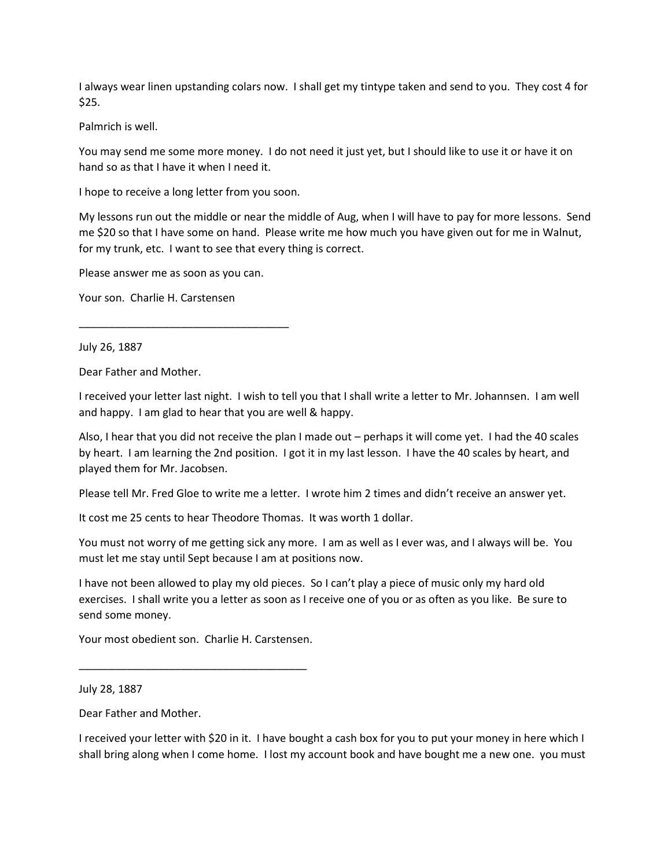I always wear linen upstanding colars now. I shall get my tintype taken and send to you. They cost 4 for \$25.

Palmrich is well.

You may send me some more money. I do not need it just yet, but I should like to use it or have it on hand so as that I have it when I need it.

I hope to receive a long letter from you soon.

My lessons run out the middle or near the middle of Aug, when I will have to pay for more lessons. Send me \$20 so that I have some on hand. Please write me how much you have given out for me in Walnut, for my trunk, etc. I want to see that every thing is correct.

Please answer me as soon as you can.

\_\_\_\_\_\_\_\_\_\_\_\_\_\_\_\_\_\_\_\_\_\_\_\_\_\_\_\_\_\_\_\_\_\_\_

Your son. Charlie H. Carstensen

July 26, 1887

Dear Father and Mother.

I received your letter last night. I wish to tell you that I shall write a letter to Mr. Johannsen. I am well and happy. I am glad to hear that you are well & happy.

Also, I hear that you did not receive the plan I made out – perhaps it will come yet. I had the 40 scales by heart. I am learning the 2nd position. I got it in my last lesson. I have the 40 scales by heart, and played them for Mr. Jacobsen.

Please tell Mr. Fred Gloe to write me a letter. I wrote him 2 times and didn't receive an answer yet.

It cost me 25 cents to hear Theodore Thomas. It was worth 1 dollar.

You must not worry of me getting sick any more. I am as well as I ever was, and I always will be. You must let me stay until Sept because I am at positions now.

I have not been allowed to play my old pieces. So I can't play a piece of music only my hard old exercises. I shall write you a letter as soon as I receive one of you or as often as you like. Be sure to send some money.

Your most obedient son. Charlie H. Carstensen.

\_\_\_\_\_\_\_\_\_\_\_\_\_\_\_\_\_\_\_\_\_\_\_\_\_\_\_\_\_\_\_\_\_\_\_\_\_\_

July 28, 1887

Dear Father and Mother.

I received your letter with \$20 in it. I have bought a cash box for you to put your money in here which I shall bring along when I come home. I lost my account book and have bought me a new one. you must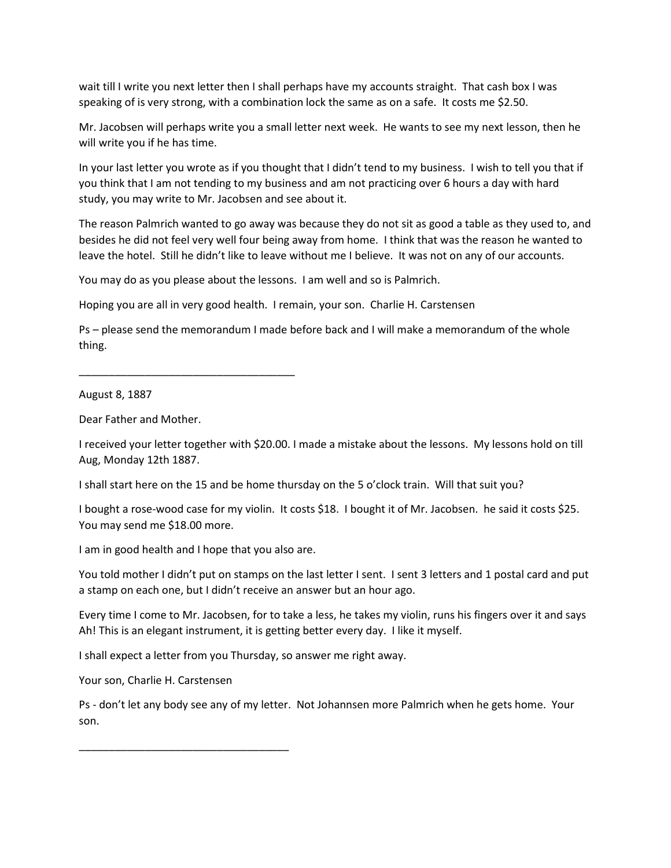wait till I write you next letter then I shall perhaps have my accounts straight. That cash box I was speaking of is very strong, with a combination lock the same as on a safe. It costs me \$2.50.

Mr. Jacobsen will perhaps write you a small letter next week. He wants to see my next lesson, then he will write you if he has time.

In your last letter you wrote as if you thought that I didn't tend to my business. I wish to tell you that if you think that I am not tending to my business and am not practicing over 6 hours a day with hard study, you may write to Mr. Jacobsen and see about it.

The reason Palmrich wanted to go away was because they do not sit as good a table as they used to, and besides he did not feel very well four being away from home. I think that was the reason he wanted to leave the hotel. Still he didn't like to leave without me I believe. It was not on any of our accounts.

You may do as you please about the lessons. I am well and so is Palmrich.

Hoping you are all in very good health. I remain, your son. Charlie H. Carstensen

Ps – please send the memorandum I made before back and I will make a memorandum of the whole thing.

August 8, 1887

Dear Father and Mother.

I received your letter together with \$20.00. I made a mistake about the lessons. My lessons hold on till Aug, Monday 12th 1887.

I shall start here on the 15 and be home thursday on the 5 o'clock train. Will that suit you?

I bought a rose-wood case for my violin. It costs \$18. I bought it of Mr. Jacobsen. he said it costs \$25. You may send me \$18.00 more.

I am in good health and I hope that you also are.

\_\_\_\_\_\_\_\_\_\_\_\_\_\_\_\_\_\_\_\_\_\_\_\_\_\_\_\_\_\_\_\_\_\_\_\_

You told mother I didn't put on stamps on the last letter I sent. I sent 3 letters and 1 postal card and put a stamp on each one, but I didn't receive an answer but an hour ago.

Every time I come to Mr. Jacobsen, for to take a less, he takes my violin, runs his fingers over it and says Ah! This is an elegant instrument, it is getting better every day. I like it myself.

I shall expect a letter from you Thursday, so answer me right away.

Your son, Charlie H. Carstensen

Ps - don't let any body see any of my letter. Not Johannsen more Palmrich when he gets home. Your son.

\_\_\_\_\_\_\_\_\_\_\_\_\_\_\_\_\_\_\_\_\_\_\_\_\_\_\_\_\_\_\_\_\_\_\_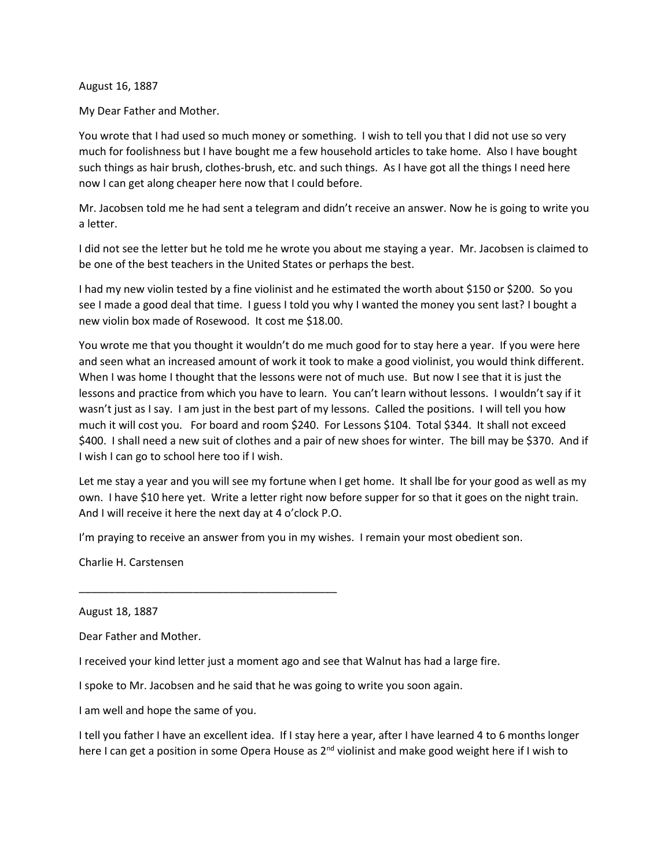August 16, 1887

My Dear Father and Mother.

You wrote that I had used so much money or something. I wish to tell you that I did not use so very much for foolishness but I have bought me a few household articles to take home. Also I have bought such things as hair brush, clothes-brush, etc. and such things. As I have got all the things I need here now I can get along cheaper here now that I could before.

Mr. Jacobsen told me he had sent a telegram and didn't receive an answer. Now he is going to write you a letter.

I did not see the letter but he told me he wrote you about me staying a year. Mr. Jacobsen is claimed to be one of the best teachers in the United States or perhaps the best.

I had my new violin tested by a fine violinist and he estimated the worth about \$150 or \$200. So you see I made a good deal that time. I guess I told you why I wanted the money you sent last? I bought a new violin box made of Rosewood. It cost me \$18.00.

You wrote me that you thought it wouldn't do me much good for to stay here a year. If you were here and seen what an increased amount of work it took to make a good violinist, you would think different. When I was home I thought that the lessons were not of much use. But now I see that it is just the lessons and practice from which you have to learn. You can't learn without lessons. I wouldn't say if it wasn't just as I say. I am just in the best part of my lessons. Called the positions. I will tell you how much it will cost you. For board and room \$240. For Lessons \$104. Total \$344. It shall not exceed \$400. I shall need a new suit of clothes and a pair of new shoes for winter. The bill may be \$370. And if I wish I can go to school here too if I wish.

Let me stay a year and you will see my fortune when I get home. It shall lbe for your good as well as my own. I have \$10 here yet. Write a letter right now before supper for so that it goes on the night train. And I will receive it here the next day at 4 o'clock P.O.

I'm praying to receive an answer from you in my wishes. I remain your most obedient son.

Charlie H. Carstensen

August 18, 1887

Dear Father and Mother.

I received your kind letter just a moment ago and see that Walnut has had a large fire.

I spoke to Mr. Jacobsen and he said that he was going to write you soon again.

I am well and hope the same of you.

\_\_\_\_\_\_\_\_\_\_\_\_\_\_\_\_\_\_\_\_\_\_\_\_\_\_\_\_\_\_\_\_\_\_\_\_\_\_\_\_\_\_\_

I tell you father I have an excellent idea. If I stay here a year, after I have learned 4 to 6 months longer here I can get a position in some Opera House as 2<sup>nd</sup> violinist and make good weight here if I wish to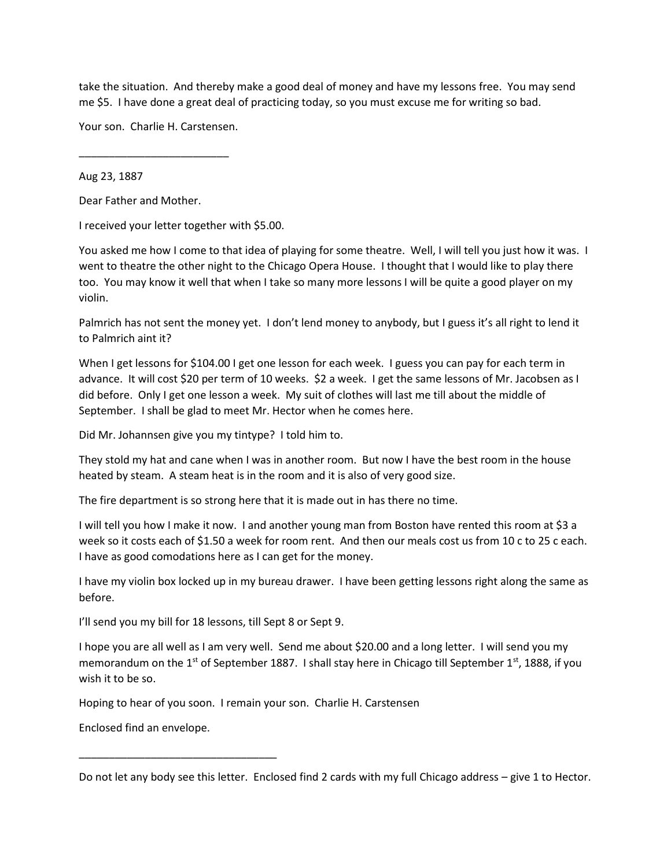take the situation. And thereby make a good deal of money and have my lessons free. You may send me \$5. I have done a great deal of practicing today, so you must excuse me for writing so bad.

Your son. Charlie H. Carstensen.

\_\_\_\_\_\_\_\_\_\_\_\_\_\_\_\_\_\_\_\_\_\_\_\_\_

Aug 23, 1887

Dear Father and Mother.

I received your letter together with \$5.00.

You asked me how I come to that idea of playing for some theatre. Well, I will tell you just how it was. I went to theatre the other night to the Chicago Opera House. I thought that I would like to play there too. You may know it well that when I take so many more lessons I will be quite a good player on my violin.

Palmrich has not sent the money yet. I don't lend money to anybody, but I guess it's all right to lend it to Palmrich aint it?

When I get lessons for \$104.00 I get one lesson for each week. I guess you can pay for each term in advance. It will cost \$20 per term of 10 weeks. \$2 a week. I get the same lessons of Mr. Jacobsen as I did before. Only I get one lesson a week. My suit of clothes will last me till about the middle of September. I shall be glad to meet Mr. Hector when he comes here.

Did Mr. Johannsen give you my tintype? I told him to.

They stold my hat and cane when I was in another room. But now I have the best room in the house heated by steam. A steam heat is in the room and it is also of very good size.

The fire department is so strong here that it is made out in has there no time.

I will tell you how I make it now. I and another young man from Boston have rented this room at \$3 a week so it costs each of \$1.50 a week for room rent. And then our meals cost us from 10 c to 25 c each. I have as good comodations here as I can get for the money.

I have my violin box locked up in my bureau drawer. I have been getting lessons right along the same as before.

I'll send you my bill for 18 lessons, till Sept 8 or Sept 9.

I hope you are all well as I am very well. Send me about \$20.00 and a long letter. I will send you my memorandum on the 1<sup>st</sup> of September 1887. I shall stay here in Chicago till September 1<sup>st</sup>, 1888, if you wish it to be so.

Hoping to hear of you soon. I remain your son. Charlie H. Carstensen

Enclosed find an envelope.

\_\_\_\_\_\_\_\_\_\_\_\_\_\_\_\_\_\_\_\_\_\_\_\_\_\_\_\_\_\_\_\_\_

Do not let any body see this letter. Enclosed find 2 cards with my full Chicago address – give 1 to Hector.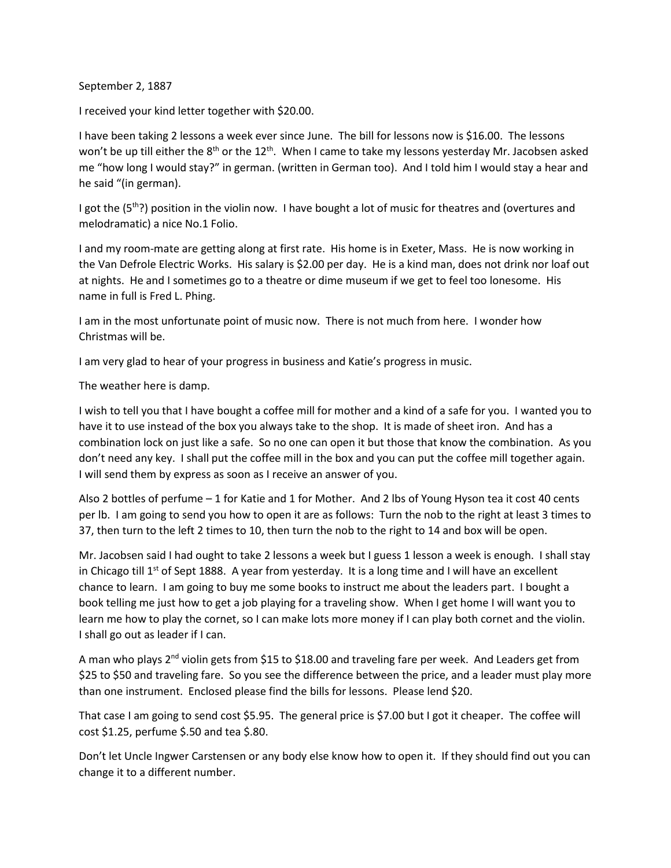September 2, 1887

I received your kind letter together with \$20.00.

I have been taking 2 lessons a week ever since June. The bill for lessons now is \$16.00. The lessons won't be up till either the  $8<sup>th</sup>$  or the  $12<sup>th</sup>$ . When I came to take my lessons yesterday Mr. Jacobsen asked me "how long I would stay?" in german. (written in German too). And I told him I would stay a hear and he said "(in german).

I got the (5<sup>th</sup>?) position in the violin now. I have bought a lot of music for theatres and (overtures and melodramatic) a nice No.1 Folio.

I and my room-mate are getting along at first rate. His home is in Exeter, Mass. He is now working in the Van Defrole Electric Works. His salary is \$2.00 per day. He is a kind man, does not drink nor loaf out at nights. He and I sometimes go to a theatre or dime museum if we get to feel too lonesome. His name in full is Fred L. Phing.

I am in the most unfortunate point of music now. There is not much from here. I wonder how Christmas will be.

I am very glad to hear of your progress in business and Katie's progress in music.

The weather here is damp.

I wish to tell you that I have bought a coffee mill for mother and a kind of a safe for you. I wanted you to have it to use instead of the box you always take to the shop. It is made of sheet iron. And has a combination lock on just like a safe. So no one can open it but those that know the combination. As you don't need any key. I shall put the coffee mill in the box and you can put the coffee mill together again. I will send them by express as soon as I receive an answer of you.

Also 2 bottles of perfume – 1 for Katie and 1 for Mother. And 2 lbs of Young Hyson tea it cost 40 cents per lb. I am going to send you how to open it are as follows: Turn the nob to the right at least 3 times to 37, then turn to the left 2 times to 10, then turn the nob to the right to 14 and box will be open.

Mr. Jacobsen said I had ought to take 2 lessons a week but I guess 1 lesson a week is enough. I shall stay in Chicago till  $1^{st}$  of Sept 1888. A year from yesterday. It is a long time and I will have an excellent chance to learn. I am going to buy me some books to instruct me about the leaders part. I bought a book telling me just how to get a job playing for a traveling show. When I get home I will want you to learn me how to play the cornet, so I can make lots more money if I can play both cornet and the violin. I shall go out as leader if I can.

A man who plays  $2<sup>nd</sup>$  violin gets from \$15 to \$18.00 and traveling fare per week. And Leaders get from \$25 to \$50 and traveling fare. So you see the difference between the price, and a leader must play more than one instrument. Enclosed please find the bills for lessons. Please lend \$20.

That case I am going to send cost \$5.95. The general price is \$7.00 but I got it cheaper. The coffee will cost \$1.25, perfume \$.50 and tea \$.80.

Don't let Uncle Ingwer Carstensen or any body else know how to open it. If they should find out you can change it to a different number.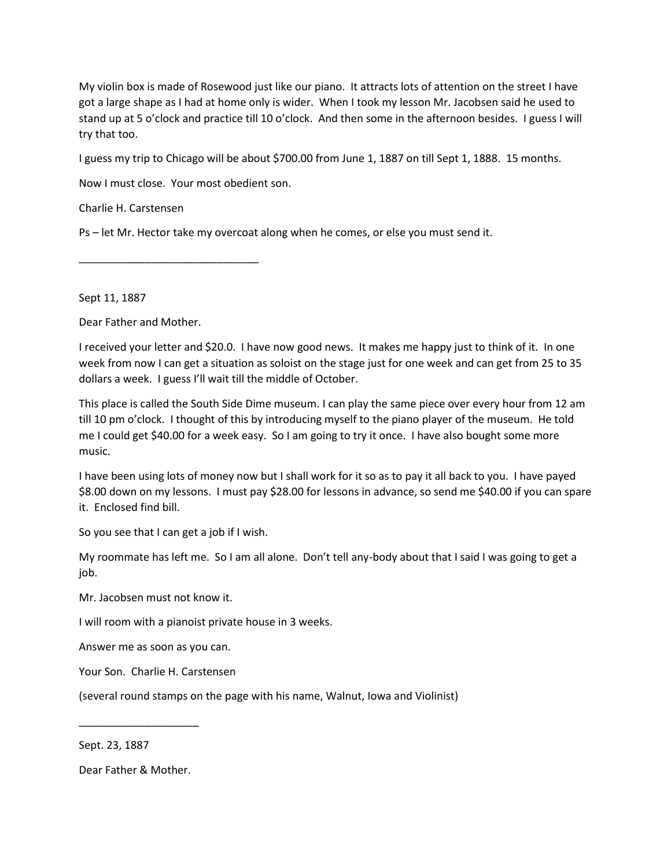My violin box is made of Rosewood just like our piano. It attracts lots of attention on the street I have got a large shape as I had at home only is wider. When I took my lesson Mr. Jacobsen said he used to stand up at 5 o'clock and practice till 10 o'clock. And then some in the afternoon besides. I guess I will try that too.

I guess my trip to Chicago will be about \$700.00 from June 1, 1887 on till Sept 1, 1888. 15 months.

Now I must close. Your most obedient son.

\_\_\_\_\_\_\_\_\_\_\_\_\_\_\_\_\_\_\_\_\_\_\_\_\_\_\_\_\_\_

Charlie H. Carstensen

Ps – let Mr. Hector take my overcoat along when he comes, or else you must send it.

Sept 11, 1887

Dear Father and Mother.

I received your letter and \$20.0. I have now good news. It makes me happy just to think of it. In one week from now I can get a situation as soloist on the stage just for one week and can get from 25 to 35 dollars a week. I guess I'll wait till the middle of October.

This place is called the South Side Dime museum. I can play the same piece over every hour from 12 am till 10 pm o'clock. I thought of this by introducing myself to the piano player of the museum. He told me I could get \$40.00 for a week easy. So I am going to try it once. I have also bought some more music.

I have been using lots of money now but I shall work for it so as to pay it all back to you. I have payed \$8.00 down on my lessons. I must pay \$28.00 for lessons in advance, so send me \$40.00 if you can spare it. Enclosed find bill.

So you see that I can get a job if I wish.

My roommate has left me. So I am all alone. Don't tell any-body about that I said I was going to get a job.

Mr. Jacobsen must not know it.

I will room with a pianoist private house in 3 weeks.

Answer me as soon as you can.

Your Son. Charlie H. Carstensen

(several round stamps on the page with his name, Walnut, Iowa and Violinist)

Sept. 23, 1887

Dear Father & Mother.

\_\_\_\_\_\_\_\_\_\_\_\_\_\_\_\_\_\_\_\_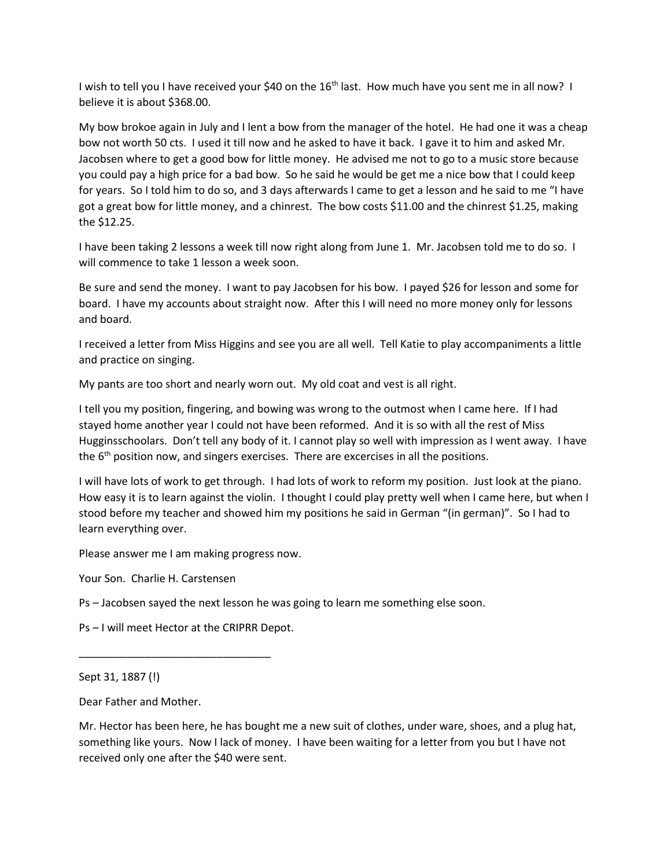I wish to tell you I have received your \$40 on the 16<sup>th</sup> last. How much have you sent me in all now? I believe it is about \$368.00.

My bow brokoe again in July and I lent a bow from the manager of the hotel. He had one it was a cheap bow not worth 50 cts. I used it till now and he asked to have it back. I gave it to him and asked Mr. Jacobsen where to get a good bow for little money. He advised me not to go to a music store because you could pay a high price for a bad bow. So he said he would be get me a nice bow that I could keep for years. So I told him to do so, and 3 days afterwards I came to get a lesson and he said to me "I have got a great bow for little money, and a chinrest. The bow costs \$11.00 and the chinrest \$1.25, making the \$12.25.

I have been taking 2 lessons a week till now right along from June 1. Mr. Jacobsen told me to do so. I will commence to take 1 lesson a week soon.

Be sure and send the money. I want to pay Jacobsen for his bow. I payed \$26 for lesson and some for board. I have my accounts about straight now. After this I will need no more money only for lessons and board.

I received a letter from Miss Higgins and see you are all well. Tell Katie to play accompaniments a little and practice on singing.

My pants are too short and nearly worn out. My old coat and vest is all right.

I tell you my position, fingering, and bowing was wrong to the outmost when I came here. If I had stayed home another year I could not have been reformed. And it is so with all the rest of Miss Hugginsschoolars. Don't tell any body of it. I cannot play so well with impression as I went away. I have the 6<sup>th</sup> position now, and singers exercises. There are excercises in all the positions.

I will have lots of work to get through. I had lots of work to reform my position. Just look at the piano. How easy it is to learn against the violin. I thought I could play pretty well when I came here, but when I stood before my teacher and showed him my positions he said in German "(in german)". So I had to learn everything over.

Please answer me I am making progress now.

Your Son. Charlie H. Carstensen

Ps – Jacobsen sayed the next lesson he was going to learn me something else soon.

Ps – I will meet Hector at the CRIPRR Depot.

\_\_\_\_\_\_\_\_\_\_\_\_\_\_\_\_\_\_\_\_\_\_\_\_\_\_\_\_\_\_\_\_

Dear Father and Mother.

Mr. Hector has been here, he has bought me a new suit of clothes, under ware, shoes, and a plug hat, something like yours. Now I lack of money. I have been waiting for a letter from you but I have not received only one after the \$40 were sent.

Sept 31, 1887 (!)